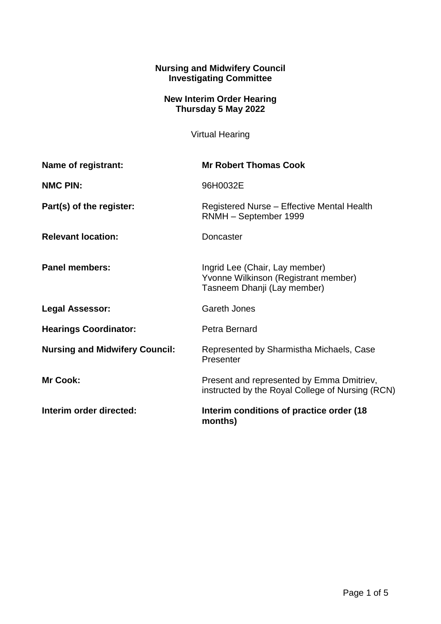## **Nursing and Midwifery Council Investigating Committee**

## **New Interim Order Hearing Thursday 5 May 2022**

Virtual Hearing

| Name of registrant:                   | <b>Mr Robert Thomas Cook</b>                                                                          |
|---------------------------------------|-------------------------------------------------------------------------------------------------------|
| <b>NMC PIN:</b>                       | 96H0032E                                                                                              |
| Part(s) of the register:              | Registered Nurse - Effective Mental Health<br>RNMH - September 1999                                   |
| <b>Relevant location:</b>             | Doncaster                                                                                             |
| <b>Panel members:</b>                 | Ingrid Lee (Chair, Lay member)<br>Yvonne Wilkinson (Registrant member)<br>Tasneem Dhanji (Lay member) |
| <b>Legal Assessor:</b>                | <b>Gareth Jones</b>                                                                                   |
| <b>Hearings Coordinator:</b>          | Petra Bernard                                                                                         |
| <b>Nursing and Midwifery Council:</b> | Represented by Sharmistha Michaels, Case<br>Presenter                                                 |
| <b>Mr Cook:</b>                       | Present and represented by Emma Dmitriev,<br>instructed by the Royal College of Nursing (RCN)         |
| Interim order directed:               | Interim conditions of practice order (18)<br>months)                                                  |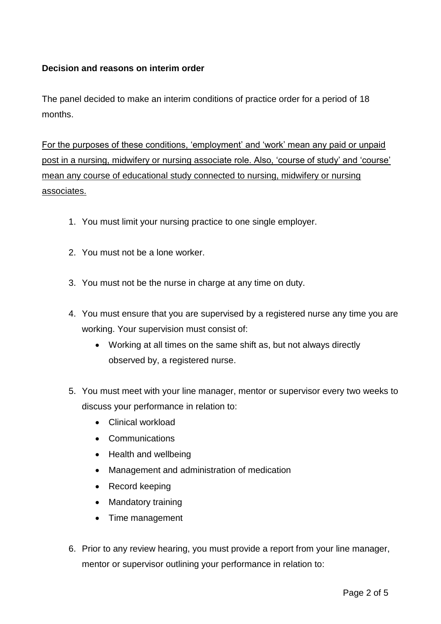## **Decision and reasons on interim order**

The panel decided to make an interim conditions of practice order for a period of 18 months.

For the purposes of these conditions, 'employment' and 'work' mean any paid or unpaid post in a nursing, midwifery or nursing associate role. Also, 'course of study' and 'course' mean any course of educational study connected to nursing, midwifery or nursing associates.

- 1. You must limit your nursing practice to one single employer.
- 2. You must not be a lone worker.
- 3. You must not be the nurse in charge at any time on duty.
- 4. You must ensure that you are supervised by a registered nurse any time you are working. Your supervision must consist of:
	- Working at all times on the same shift as, but not always directly observed by, a registered nurse.
- 5. You must meet with your line manager, mentor or supervisor every two weeks to discuss your performance in relation to:
	- Clinical workload
	- Communications
	- Health and wellbeing
	- Management and administration of medication
	- Record keeping
	- Mandatory training
	- Time management
- 6. Prior to any review hearing, you must provide a report from your line manager, mentor or supervisor outlining your performance in relation to: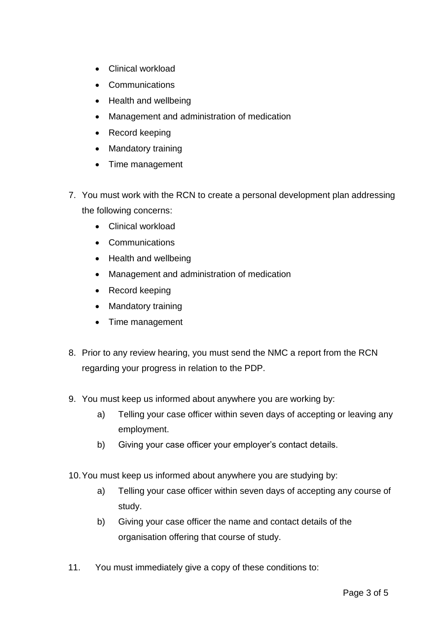- Clinical workload
- Communications
- Health and wellbeing
- Management and administration of medication
- Record keeping
- Mandatory training
- Time management
- 7. You must work with the RCN to create a personal development plan addressing the following concerns:
	- Clinical workload
	- Communications
	- Health and wellbeing
	- Management and administration of medication
	- Record keeping
	- Mandatory training
	- Time management
- 8. Prior to any review hearing, you must send the NMC a report from the RCN regarding your progress in relation to the PDP.
- 9. You must keep us informed about anywhere you are working by:
	- a) Telling your case officer within seven days of accepting or leaving any employment.
	- b) Giving your case officer your employer's contact details.
- 10.You must keep us informed about anywhere you are studying by:
	- a) Telling your case officer within seven days of accepting any course of study.
	- b) Giving your case officer the name and contact details of the organisation offering that course of study.
- 11. You must immediately give a copy of these conditions to: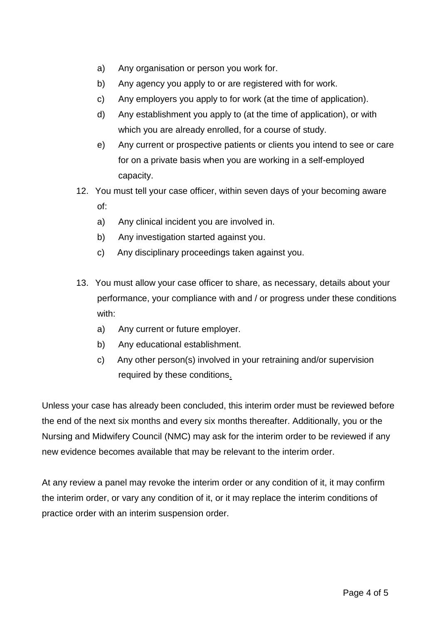- a) Any organisation or person you work for.
- b) Any agency you apply to or are registered with for work.
- c) Any employers you apply to for work (at the time of application).
- d) Any establishment you apply to (at the time of application), or with which you are already enrolled, for a course of study.
- e) Any current or prospective patients or clients you intend to see or care for on a private basis when you are working in a self-employed capacity.
- 12. You must tell your case officer, within seven days of your becoming aware of:
	- a) Any clinical incident you are involved in.
	- b) Any investigation started against you.
	- c) Any disciplinary proceedings taken against you.
- 13. You must allow your case officer to share, as necessary, details about your performance, your compliance with and / or progress under these conditions with:
	- a) Any current or future employer.
	- b) Any educational establishment.
	- c) Any other person(s) involved in your retraining and/or supervision required by these conditions.

Unless your case has already been concluded, this interim order must be reviewed before the end of the next six months and every six months thereafter. Additionally, you or the Nursing and Midwifery Council (NMC) may ask for the interim order to be reviewed if any new evidence becomes available that may be relevant to the interim order.

At any review a panel may revoke the interim order or any condition of it, it may confirm the interim order, or vary any condition of it, or it may replace the interim conditions of practice order with an interim suspension order.